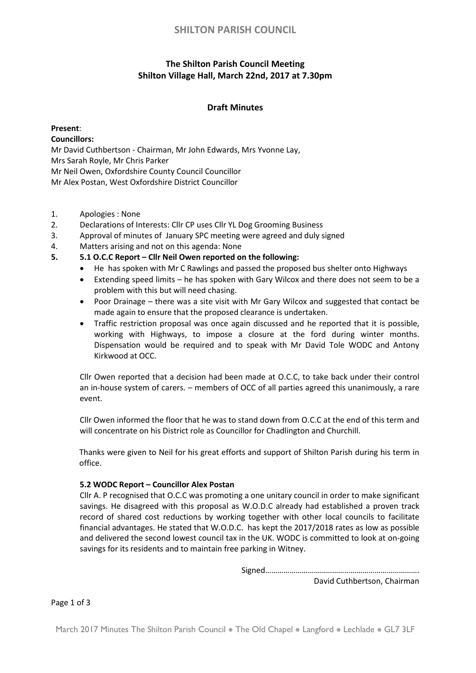# **SHILTON PARISH COUNCIL**

# **The Shilton Parish Council Meeting Shilton Village Hall, March 22nd, 2017 at 7.30pm**

### **Draft Minutes**

## **Present**:

### **Councillors:**

Mr David Cuthbertson - Chairman, Mr John Edwards, Mrs Yvonne Lay,

Mrs Sarah Royle, Mr Chris Parker

Mr Neil Owen, Oxfordshire County Council Councillor

Mr Alex Postan, West Oxfordshire District Councillor

- 1. Apologies : None
- 2. Declarations of Interests: Cllr CP uses Cllr YL Dog Grooming Business
- 3. Approval of minutes of January SPC meeting were agreed and duly signed
- 4. Matters arising and not on this agenda: None
- **5. 5.1 O.C.C Report – Cllr Neil Owen reported on the following:** 
	- He has spoken with Mr C Rawlings and passed the proposed bus shelter onto Highways
	- Extending speed limits he has spoken with Gary Wilcox and there does not seem to be a problem with this but will need chasing.
	- Poor Drainage there was a site visit with Mr Gary Wilcox and suggested that contact be made again to ensure that the proposed clearance is undertaken.
	- Traffic restriction proposal was once again discussed and he reported that it is possible, working with Highways, to impose a closure at the ford during winter months. Dispensation would be required and to speak with Mr David Tole WODC and Antony Kirkwood at OCC.

Cllr Owen reported that a decision had been made at O.C.C, to take back under their control an in-house system of carers. – members of OCC of all parties agreed this unanimously, a rare event.

Cllr Owen informed the floor that he was to stand down from O.C.C at the end of this term and will concentrate on his District role as Councillor for Chadlington and Churchill.

Thanks were given to Neil for his great efforts and support of Shilton Parish during his term in office.

#### **5.2 WODC Report – Councillor Alex Postan**

Cllr A. P recognised that O.C.C was promoting a one unitary council in order to make significant savings. He disagreed with this proposal as W.O.D.C already had established a proven track record of shared cost reductions by working together with other local councils to facilitate financial advantages. He stated that W.O.D.C. has kept the 2017/2018 rates as low as possible and delivered the second lowest council tax in the UK. WODC is committed to look at on-going savings for its residents and to maintain free parking in Witney.

Signed………………………………………………………………….

David Cuthbertson, Chairman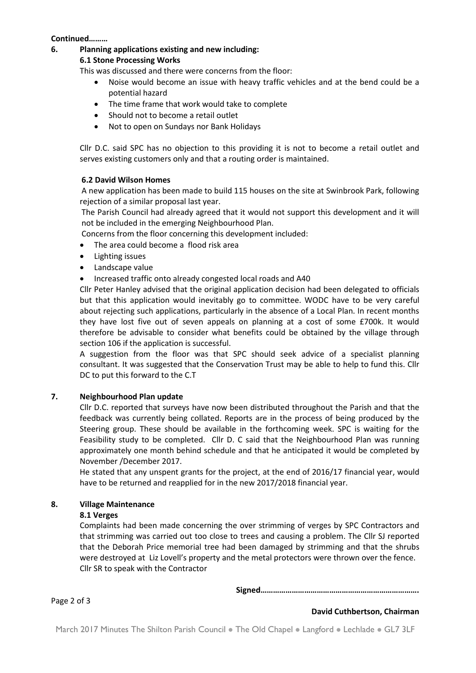#### **Continued………**

**6. Planning applications existing and new including:**

#### **6.1 Stone Processing Works**

This was discussed and there were concerns from the floor:

- Noise would become an issue with heavy traffic vehicles and at the bend could be a potential hazard
- The time frame that work would take to complete
- Should not to become a retail outlet
- Not to open on Sundays nor Bank Holidays

Cllr D.C. said SPC has no objection to this providing it is not to become a retail outlet and serves existing customers only and that a routing order is maintained.

#### **6.2 David Wilson Homes**

A new application has been made to build 115 houses on the site at Swinbrook Park, following rejection of a similar proposal last year.

The Parish Council had already agreed that it would not support this development and it will not be included in the emerging Neighbourhood Plan.

Concerns from the floor concerning this development included:

- The area could become a flood risk area
- Lighting issues
- Landscape value
- Increased traffic onto already congested local roads and A40

Cllr Peter Hanley advised that the original application decision had been delegated to officials but that this application would inevitably go to committee. WODC have to be very careful about rejecting such applications, particularly in the absence of a Local Plan. In recent months they have lost five out of seven appeals on planning at a cost of some £700k. It would therefore be advisable to consider what benefits could be obtained by the village through section 106 if the application is successful.

A suggestion from the floor was that SPC should seek advice of a specialist planning consultant. It was suggested that the Conservation Trust may be able to help to fund this. Cllr DC to put this forward to the C.T

#### **7. Neighbourhood Plan update**

Cllr D.C. reported that surveys have now been distributed throughout the Parish and that the feedback was currently being collated. Reports are in the process of being produced by the Steering group. These should be available in the forthcoming week. SPC is waiting for the Feasibility study to be completed. Cllr D. C said that the Neighbourhood Plan was running approximately one month behind schedule and that he anticipated it would be completed by November /December 2017.

He stated that any unspent grants for the project, at the end of 2016/17 financial year, would have to be returned and reapplied for in the new 2017/2018 financial year.

#### **8. Village Maintenance**

#### **8.1 Verges**

Complaints had been made concerning the over strimming of verges by SPC Contractors and that strimming was carried out too close to trees and causing a problem. The Cllr SJ reported that the Deborah Price memorial tree had been damaged by strimming and that the shrubs were destroyed at Liz Lovell's property and the metal protectors were thrown over the fence. Cllr SR to speak with the Contractor

**Signed………………………………………………………………….**

Page 2 of 3

#### **David Cuthbertson, Chairman**